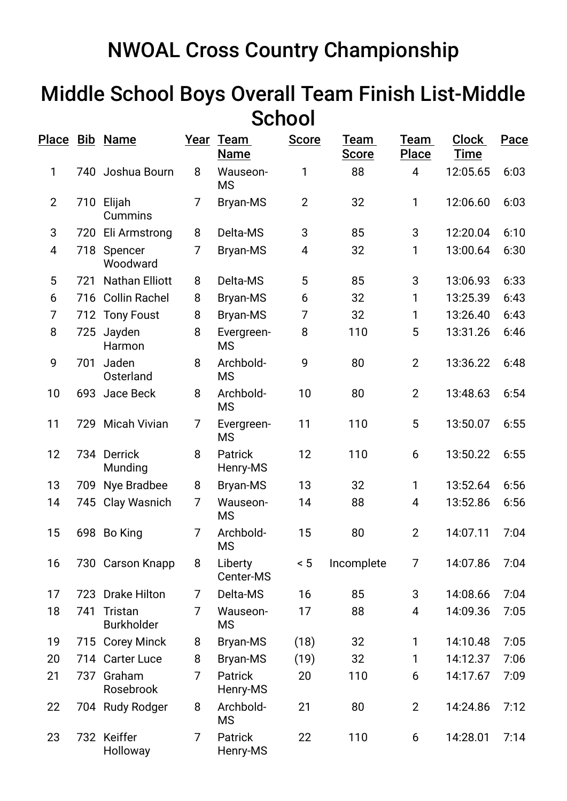## NWOAL Cross Country Championship

## Middle School Boys Overall Team Finish List-Middle **School**

|                |     | <u>Place Bib Name</u>        |   | Year Team<br><b>Name</b>   | <b>Score</b>   | Team<br><b>Score</b> | Team<br><b>Place</b> | <b>Clock</b><br><b>Time</b> | Pace |
|----------------|-----|------------------------------|---|----------------------------|----------------|----------------------|----------------------|-----------------------------|------|
| 1              |     | 740 Joshua Bourn             | 8 | Wauseon-<br><b>MS</b>      | 1              | 88                   | $\overline{4}$       | 12:05.65                    | 6:03 |
| $\overline{2}$ |     | 710 Elijah<br><b>Cummins</b> | 7 | <b>Bryan-MS</b>            | $\overline{2}$ | 32                   | 1                    | 12:06.60                    | 6:03 |
| 3              | 720 | Eli Armstrong                | 8 | Delta-MS                   | 3              | 85                   | 3                    | 12:20.04                    | 6:10 |
| $\overline{4}$ | 718 | Spencer<br>Woodward          | 7 | Bryan-MS                   | 4              | 32                   | 1                    | 13:00.64                    | 6:30 |
| 5              | 721 | <b>Nathan Elliott</b>        | 8 | Delta-MS                   | 5              | 85                   | 3                    | 13:06.93                    | 6:33 |
| 6              |     | 716 Collin Rachel            | 8 | Bryan-MS                   | 6              | 32                   | 1                    | 13:25.39                    | 6:43 |
| 7              |     | 712 Tony Foust               | 8 | <b>Bryan-MS</b>            | 7              | 32                   | 1                    | 13:26.40                    | 6:43 |
| 8              | 725 | Jayden<br>Harmon             | 8 | Evergreen-<br><b>MS</b>    | 8              | 110                  | 5                    | 13:31.26                    | 6:46 |
| 9              | 701 | Jaden<br>Osterland           | 8 | Archbold-<br><b>MS</b>     | 9              | 80                   | $\overline{2}$       | 13:36.22                    | 6:48 |
| 10             | 693 | Jace Beck                    | 8 | Archbold-<br><b>MS</b>     | 10             | 80                   | $\overline{2}$       | 13:48.63                    | 6:54 |
| 11             |     | 729 Micah Vivian             | 7 | Evergreen-<br><b>MS</b>    | 11             | 110                  | 5                    | 13:50.07                    | 6:55 |
| 12             |     | 734 Derrick<br>Munding       | 8 | <b>Patrick</b><br>Henry-MS | 12             | 110                  | 6                    | 13:50.22                    | 6:55 |
| 13             | 709 | Nye Bradbee                  | 8 | Bryan-MS                   | 13             | 32                   | $\mathbf{1}$         | 13:52.64                    | 6:56 |
| 14             |     | 745 Clay Wasnich             | 7 | Wauseon-<br><b>MS</b>      | 14             | 88                   | 4                    | 13:52.86                    | 6:56 |
| 15             |     | 698 Bo King                  | 7 | Archbold-<br><b>MS</b>     | 15             | 80                   | $\overline{2}$       | 14:07.11                    | 7:04 |
| 16             |     | 730 Carson Knapp             | 8 | Liberty<br>Center-MS       | < 5            | Incomplete           | $\overline{7}$       | 14:07.86                    | 7:04 |
| 17             | 723 | <b>Drake Hilton</b>          | 7 | Delta-MS                   | 16             | 85                   | 3                    | 14:08.66                    | 7:04 |
| 18             | 741 | Tristan<br><b>Burkholder</b> | 7 | Wauseon-<br>MS             | 17             | 88                   | 4                    | 14:09.36                    | 7:05 |
| 19             |     | 715 Corey Minck              | 8 | Bryan-MS                   | (18)           | 32                   | 1                    | 14:10.48                    | 7:05 |
| 20             |     | 714 Carter Luce              | 8 | <b>Bryan-MS</b>            | (19)           | 32                   | 1                    | 14:12.37                    | 7:06 |
| 21             | 737 | Graham<br>Rosebrook          | 7 | Patrick<br>Henry-MS        | 20             | 110                  | 6                    | 14:17.67                    | 7:09 |
| 22             |     | 704 Rudy Rodger              | 8 | Archbold-<br><b>MS</b>     | 21             | 80                   | $\overline{2}$       | 14:24.86                    | 7:12 |
| 23             |     | 732 Keiffer<br>Holloway      | 7 | Patrick<br>Henry-MS        | 22             | 110                  | 6                    | 14:28.01                    | 7:14 |